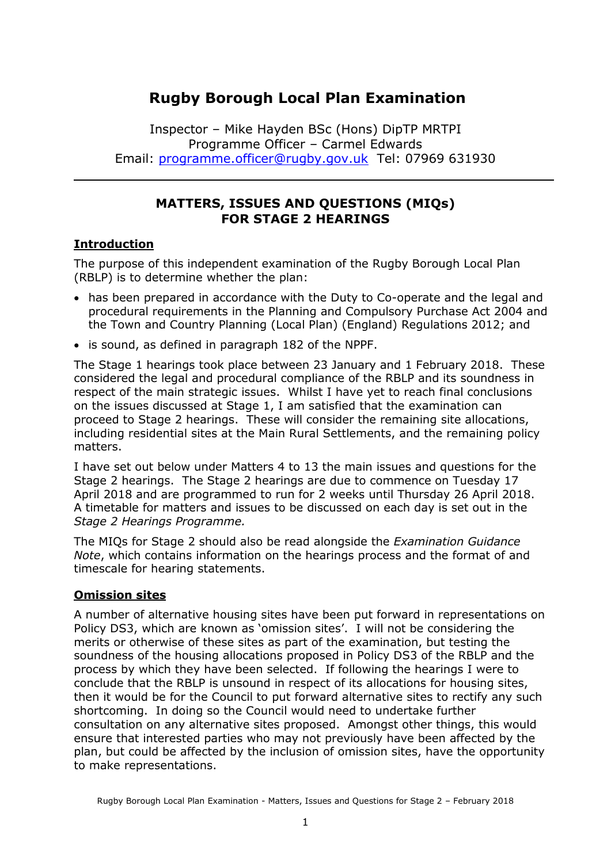# **Rugby Borough Local Plan Examination**

Inspector – Mike Hayden BSc (Hons) DipTP MRTPI Programme Officer – Carmel Edwards Email: [programme.officer@rugby.gov.uk](mailto:programme.officer@rugby.gov.uk) Tel: 07969 631930

### **MATTERS, ISSUES AND QUESTIONS (MIQs) FOR STAGE 2 HEARINGS**

### **Introduction**

The purpose of this independent examination of the Rugby Borough Local Plan (RBLP) is to determine whether the plan:

- has been prepared in accordance with the Duty to Co-operate and the legal and procedural requirements in the Planning and Compulsory Purchase Act 2004 and the Town and Country Planning (Local Plan) (England) Regulations 2012; and
- is sound, as defined in paragraph 182 of the NPPF.

The Stage 1 hearings took place between 23 January and 1 February 2018. These considered the legal and procedural compliance of the RBLP and its soundness in respect of the main strategic issues. Whilst I have yet to reach final conclusions on the issues discussed at Stage 1, I am satisfied that the examination can proceed to Stage 2 hearings. These will consider the remaining site allocations, including residential sites at the Main Rural Settlements, and the remaining policy matters.

I have set out below under Matters 4 to 13 the main issues and questions for the Stage 2 hearings. The Stage 2 hearings are due to commence on Tuesday 17 April 2018 and are programmed to run for 2 weeks until Thursday 26 April 2018. A timetable for matters and issues to be discussed on each day is set out in the *Stage 2 Hearings Programme.*

The MIQs for Stage 2 should also be read alongside the *Examination Guidance Note*, which contains information on the hearings process and the format of and timescale for hearing statements.

#### **Omission sites**

A number of alternative housing sites have been put forward in representations on Policy DS3, which are known as 'omission sites'. I will not be considering the merits or otherwise of these sites as part of the examination, but testing the soundness of the housing allocations proposed in Policy DS3 of the RBLP and the process by which they have been selected. If following the hearings I were to conclude that the RBLP is unsound in respect of its allocations for housing sites, then it would be for the Council to put forward alternative sites to rectify any such shortcoming. In doing so the Council would need to undertake further consultation on any alternative sites proposed. Amongst other things, this would ensure that interested parties who may not previously have been affected by the plan, but could be affected by the inclusion of omission sites, have the opportunity to make representations.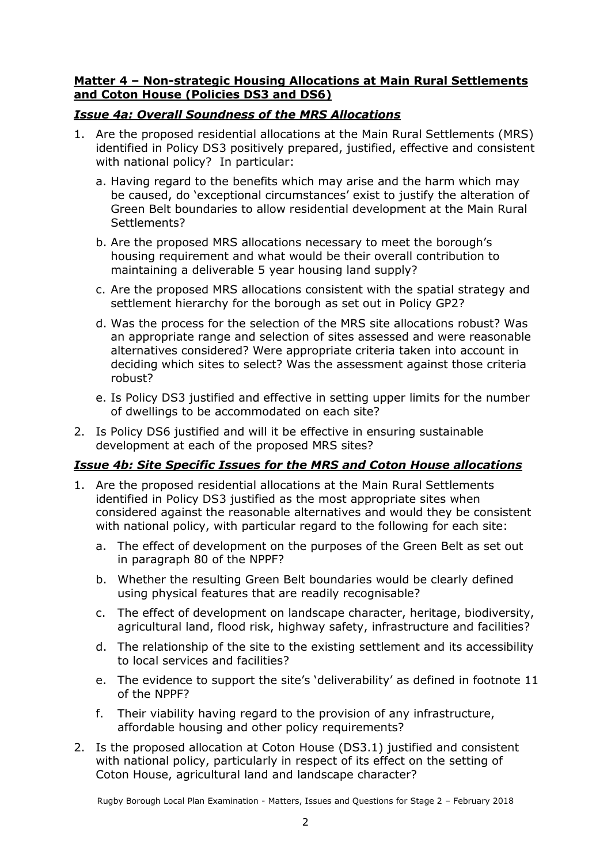#### **Matter 4 – Non-strategic Housing Allocations at Main Rural Settlements and Coton House (Policies DS3 and DS6)**

### *Issue 4a: Overall Soundness of the MRS Allocations*

- 1. Are the proposed residential allocations at the Main Rural Settlements (MRS) identified in Policy DS3 positively prepared, justified, effective and consistent with national policy? In particular:
	- a. Having regard to the benefits which may arise and the harm which may be caused, do 'exceptional circumstances' exist to justify the alteration of Green Belt boundaries to allow residential development at the Main Rural Settlements?
	- b. Are the proposed MRS allocations necessary to meet the borough's housing requirement and what would be their overall contribution to maintaining a deliverable 5 year housing land supply?
	- c. Are the proposed MRS allocations consistent with the spatial strategy and settlement hierarchy for the borough as set out in Policy GP2?
	- d. Was the process for the selection of the MRS site allocations robust? Was an appropriate range and selection of sites assessed and were reasonable alternatives considered? Were appropriate criteria taken into account in deciding which sites to select? Was the assessment against those criteria robust?
	- e. Is Policy DS3 justified and effective in setting upper limits for the number of dwellings to be accommodated on each site?
- 2. Is Policy DS6 justified and will it be effective in ensuring sustainable development at each of the proposed MRS sites?

### *Issue 4b: Site Specific Issues for the MRS and Coton House allocations*

- 1. Are the proposed residential allocations at the Main Rural Settlements identified in Policy DS3 justified as the most appropriate sites when considered against the reasonable alternatives and would they be consistent with national policy, with particular regard to the following for each site:
	- a. The effect of development on the purposes of the Green Belt as set out in paragraph 80 of the NPPF?
	- b. Whether the resulting Green Belt boundaries would be clearly defined using physical features that are readily recognisable?
	- c. The effect of development on landscape character, heritage, biodiversity, agricultural land, flood risk, highway safety, infrastructure and facilities?
	- d. The relationship of the site to the existing settlement and its accessibility to local services and facilities?
	- e. The evidence to support the site's 'deliverability' as defined in footnote 11 of the NPPF?
	- f. Their viability having regard to the provision of any infrastructure, affordable housing and other policy requirements?
- 2. Is the proposed allocation at Coton House (DS3.1) justified and consistent with national policy, particularly in respect of its effect on the setting of Coton House, agricultural land and landscape character?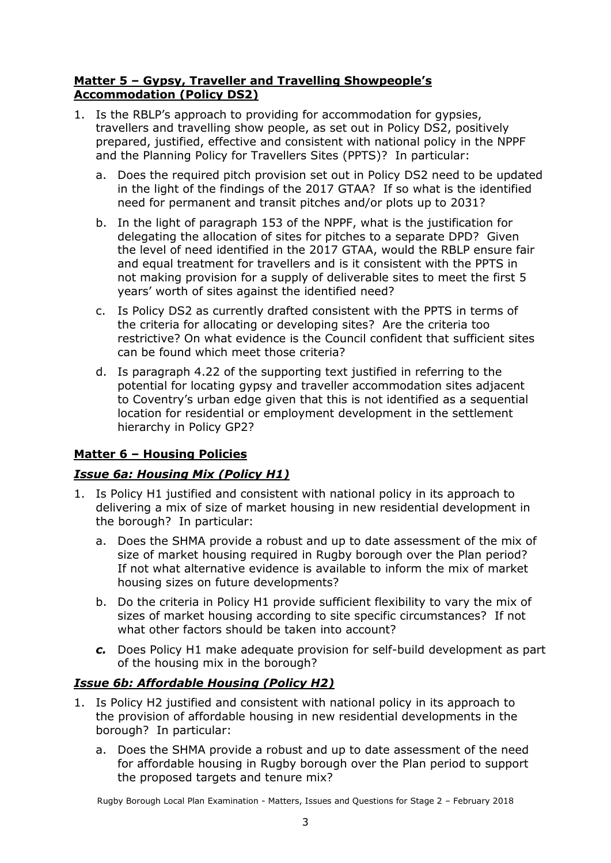#### **Matter 5 – Gypsy, Traveller and Travelling Showpeople's Accommodation (Policy DS2)**

- 1. Is the RBLP's approach to providing for accommodation for gypsies, travellers and travelling show people, as set out in Policy DS2, positively prepared, justified, effective and consistent with national policy in the NPPF and the Planning Policy for Travellers Sites (PPTS)? In particular:
	- a. Does the required pitch provision set out in Policy DS2 need to be updated in the light of the findings of the 2017 GTAA? If so what is the identified need for permanent and transit pitches and/or plots up to 2031?
	- b. In the light of paragraph 153 of the NPPF, what is the justification for delegating the allocation of sites for pitches to a separate DPD? Given the level of need identified in the 2017 GTAA, would the RBLP ensure fair and equal treatment for travellers and is it consistent with the PPTS in not making provision for a supply of deliverable sites to meet the first 5 years' worth of sites against the identified need?
	- c. Is Policy DS2 as currently drafted consistent with the PPTS in terms of the criteria for allocating or developing sites? Are the criteria too restrictive? On what evidence is the Council confident that sufficient sites can be found which meet those criteria?
	- d. Is paragraph 4.22 of the supporting text justified in referring to the potential for locating gypsy and traveller accommodation sites adjacent to Coventry's urban edge given that this is not identified as a sequential location for residential or employment development in the settlement hierarchy in Policy GP2?

## **Matter 6 – Housing Policies**

### *Issue 6a: Housing Mix (Policy H1)*

- 1. Is Policy H1 justified and consistent with national policy in its approach to delivering a mix of size of market housing in new residential development in the borough? In particular:
	- a. Does the SHMA provide a robust and up to date assessment of the mix of size of market housing required in Rugby borough over the Plan period? If not what alternative evidence is available to inform the mix of market housing sizes on future developments?
	- b. Do the criteria in Policy H1 provide sufficient flexibility to vary the mix of sizes of market housing according to site specific circumstances? If not what other factors should be taken into account?
	- *c.* Does Policy H1 make adequate provision for self-build development as part of the housing mix in the borough?

### *Issue 6b: Affordable Housing (Policy H2)*

- 1. Is Policy H2 justified and consistent with national policy in its approach to the provision of affordable housing in new residential developments in the borough? In particular:
	- a. Does the SHMA provide a robust and up to date assessment of the need for affordable housing in Rugby borough over the Plan period to support the proposed targets and tenure mix?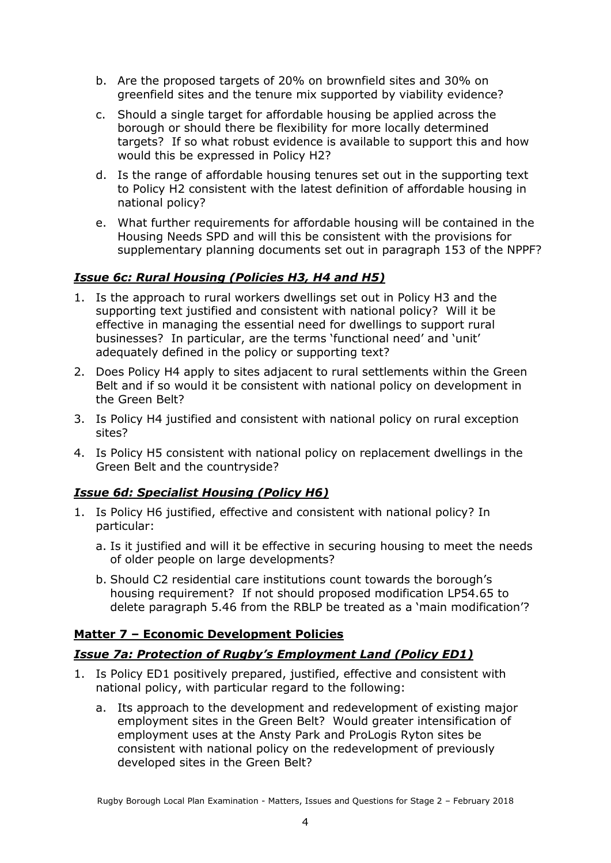- b. Are the proposed targets of 20% on brownfield sites and 30% on greenfield sites and the tenure mix supported by viability evidence?
- c. Should a single target for affordable housing be applied across the borough or should there be flexibility for more locally determined targets? If so what robust evidence is available to support this and how would this be expressed in Policy H2?
- d. Is the range of affordable housing tenures set out in the supporting text to Policy H2 consistent with the latest definition of affordable housing in national policy?
- e. What further requirements for affordable housing will be contained in the Housing Needs SPD and will this be consistent with the provisions for supplementary planning documents set out in paragraph 153 of the NPPF?

#### *Issue 6c: Rural Housing (Policies H3, H4 and H5)*

- 1. Is the approach to rural workers dwellings set out in Policy H3 and the supporting text justified and consistent with national policy? Will it be effective in managing the essential need for dwellings to support rural businesses? In particular, are the terms 'functional need' and 'unit' adequately defined in the policy or supporting text?
- 2. Does Policy H4 apply to sites adjacent to rural settlements within the Green Belt and if so would it be consistent with national policy on development in the Green Belt?
- 3. Is Policy H4 justified and consistent with national policy on rural exception sites?
- 4. Is Policy H5 consistent with national policy on replacement dwellings in the Green Belt and the countryside?

### *Issue 6d: Specialist Housing (Policy H6)*

- 1. Is Policy H6 justified, effective and consistent with national policy? In particular:
	- a. Is it justified and will it be effective in securing housing to meet the needs of older people on large developments?
	- b. Should C2 residential care institutions count towards the borough's housing requirement? If not should proposed modification LP54.65 to delete paragraph 5.46 from the RBLP be treated as a 'main modification'?

#### **Matter 7 – Economic Development Policies**

### *Issue 7a: Protection of Rugby's Employment Land (Policy ED1)*

- 1. Is Policy ED1 positively prepared, justified, effective and consistent with national policy, with particular regard to the following:
	- a. Its approach to the development and redevelopment of existing major employment sites in the Green Belt? Would greater intensification of employment uses at the Ansty Park and ProLogis Ryton sites be consistent with national policy on the redevelopment of previously developed sites in the Green Belt?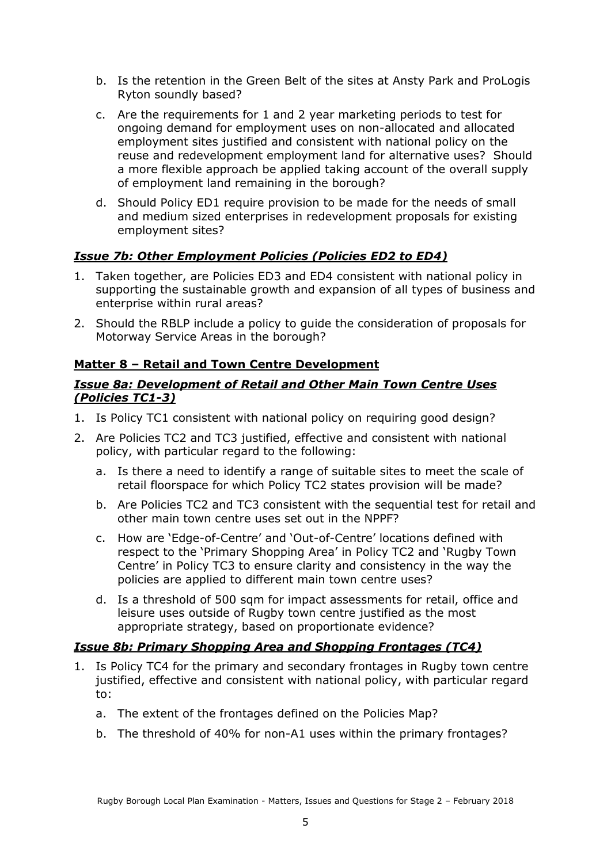- b. Is the retention in the Green Belt of the sites at Ansty Park and ProLogis Ryton soundly based?
- c. Are the requirements for 1 and 2 year marketing periods to test for ongoing demand for employment uses on non-allocated and allocated employment sites justified and consistent with national policy on the reuse and redevelopment employment land for alternative uses? Should a more flexible approach be applied taking account of the overall supply of employment land remaining in the borough?
- d. Should Policy ED1 require provision to be made for the needs of small and medium sized enterprises in redevelopment proposals for existing employment sites?

## *Issue 7b: Other Employment Policies (Policies ED2 to ED4)*

- 1. Taken together, are Policies ED3 and ED4 consistent with national policy in supporting the sustainable growth and expansion of all types of business and enterprise within rural areas?
- 2. Should the RBLP include a policy to guide the consideration of proposals for Motorway Service Areas in the borough?

#### **Matter 8 – Retail and Town Centre Development**

#### *Issue 8a: Development of Retail and Other Main Town Centre Uses (Policies TC1-3)*

- 1. Is Policy TC1 consistent with national policy on requiring good design?
- 2. Are Policies TC2 and TC3 justified, effective and consistent with national policy, with particular regard to the following:
	- a. Is there a need to identify a range of suitable sites to meet the scale of retail floorspace for which Policy TC2 states provision will be made?
	- b. Are Policies TC2 and TC3 consistent with the sequential test for retail and other main town centre uses set out in the NPPF?
	- c. How are 'Edge-of-Centre' and 'Out-of-Centre' locations defined with respect to the 'Primary Shopping Area' in Policy TC2 and 'Rugby Town Centre' in Policy TC3 to ensure clarity and consistency in the way the policies are applied to different main town centre uses?
	- d. Is a threshold of 500 sqm for impact assessments for retail, office and leisure uses outside of Rugby town centre justified as the most appropriate strategy, based on proportionate evidence?

#### *Issue 8b: Primary Shopping Area and Shopping Frontages (TC4)*

- 1. Is Policy TC4 for the primary and secondary frontages in Rugby town centre justified, effective and consistent with national policy, with particular regard to:
	- a. The extent of the frontages defined on the Policies Map?
	- b. The threshold of 40% for non-A1 uses within the primary frontages?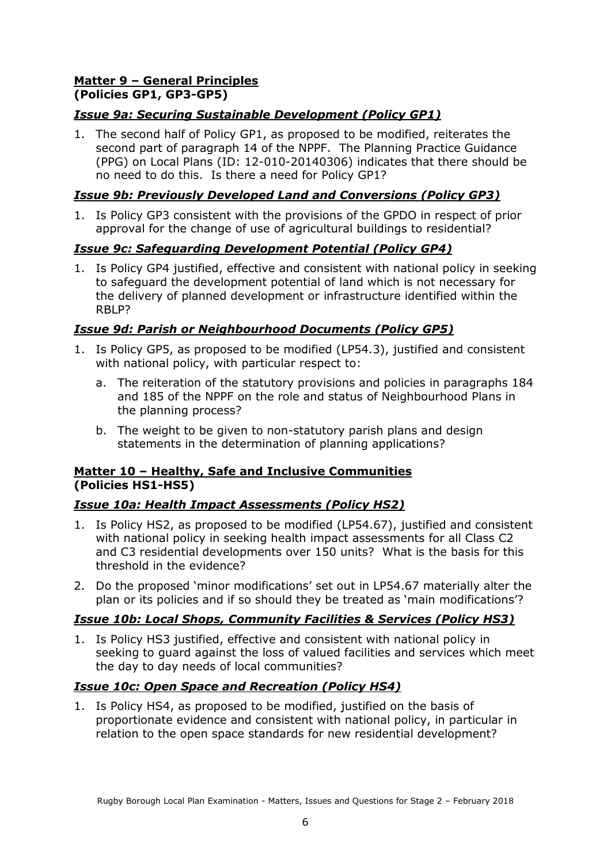#### **Matter 9 – General Principles (Policies GP1, GP3-GP5)**

## *Issue 9a: Securing Sustainable Development (Policy GP1)*

1. The second half of Policy GP1, as proposed to be modified, reiterates the second part of paragraph 14 of the NPPF. The Planning Practice Guidance (PPG) on Local Plans (ID: 12-010-20140306) indicates that there should be no need to do this. Is there a need for Policy GP1?

### *Issue 9b: Previously Developed Land and Conversions (Policy GP3)*

1. Is Policy GP3 consistent with the provisions of the GPDO in respect of prior approval for the change of use of agricultural buildings to residential?

## *Issue 9c: Safeguarding Development Potential (Policy GP4)*

1. Is Policy GP4 justified, effective and consistent with national policy in seeking to safeguard the development potential of land which is not necessary for the delivery of planned development or infrastructure identified within the RBLP?

## *Issue 9d: Parish or Neighbourhood Documents (Policy GP5)*

- 1. Is Policy GP5, as proposed to be modified (LP54.3), justified and consistent with national policy, with particular respect to:
	- a. The reiteration of the statutory provisions and policies in paragraphs 184 and 185 of the NPPF on the role and status of Neighbourhood Plans in the planning process?
	- b. The weight to be given to non-statutory parish plans and design statements in the determination of planning applications?

#### **Matter 10 – Healthy, Safe and Inclusive Communities (Policies HS1-HS5)**

### *Issue 10a: Health Impact Assessments (Policy HS2)*

- 1. Is Policy HS2, as proposed to be modified (LP54.67), justified and consistent with national policy in seeking health impact assessments for all Class C2 and C3 residential developments over 150 units? What is the basis for this threshold in the evidence?
- 2. Do the proposed 'minor modifications' set out in LP54.67 materially alter the plan or its policies and if so should they be treated as 'main modifications'?

## *Issue 10b: Local Shops, Community Facilities & Services (Policy HS3)*

1. Is Policy HS3 justified, effective and consistent with national policy in seeking to guard against the loss of valued facilities and services which meet the day to day needs of local communities?

## *Issue 10c: Open Space and Recreation (Policy HS4)*

1. Is Policy HS4, as proposed to be modified, justified on the basis of proportionate evidence and consistent with national policy, in particular in relation to the open space standards for new residential development?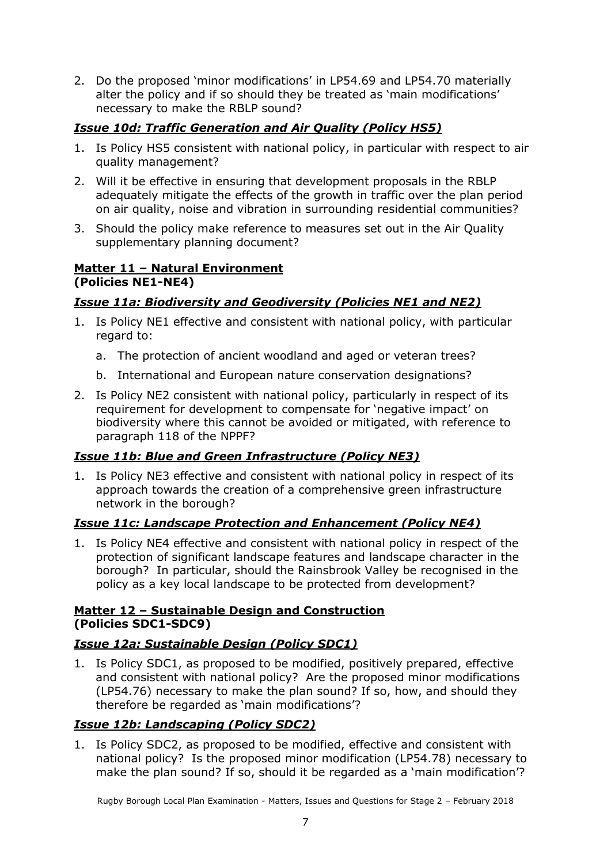2. Do the proposed 'minor modifications' in LP54.69 and LP54.70 materially alter the policy and if so should they be treated as 'main modifications' necessary to make the RBLP sound?

## *Issue 10d: Traffic Generation and Air Quality (Policy HS5)*

- 1. Is Policy HS5 consistent with national policy, in particular with respect to air quality management?
- 2. Will it be effective in ensuring that development proposals in the RBLP adequately mitigate the effects of the growth in traffic over the plan period on air quality, noise and vibration in surrounding residential communities?
- 3. Should the policy make reference to measures set out in the Air Quality supplementary planning document?

#### **Matter 11 – Natural Environment (Policies NE1-NE4)**

### *Issue 11a: Biodiversity and Geodiversity (Policies NE1 and NE2)*

- 1. Is Policy NE1 effective and consistent with national policy, with particular regard to:
	- a. The protection of ancient woodland and aged or veteran trees?
	- b. International and European nature conservation designations?
- 2. Is Policy NE2 consistent with national policy, particularly in respect of its requirement for development to compensate for 'negative impact' on biodiversity where this cannot be avoided or mitigated, with reference to paragraph 118 of the NPPF?

### *Issue 11b: Blue and Green Infrastructure (Policy NE3)*

1. Is Policy NE3 effective and consistent with national policy in respect of its approach towards the creation of a comprehensive green infrastructure network in the borough?

### *Issue 11c: Landscape Protection and Enhancement (Policy NE4)*

1. Is Policy NE4 effective and consistent with national policy in respect of the protection of significant landscape features and landscape character in the borough? In particular, should the Rainsbrook Valley be recognised in the policy as a key local landscape to be protected from development?

#### **Matter 12 – Sustainable Design and Construction (Policies SDC1-SDC9)**

### *Issue 12a: Sustainable Design (Policy SDC1)*

1. Is Policy SDC1, as proposed to be modified, positively prepared, effective and consistent with national policy? Are the proposed minor modifications (LP54.76) necessary to make the plan sound? If so, how, and should they therefore be regarded as 'main modifications'?

### *Issue 12b: Landscaping (Policy SDC2)*

1. Is Policy SDC2, as proposed to be modified, effective and consistent with national policy? Is the proposed minor modification (LP54.78) necessary to make the plan sound? If so, should it be regarded as a 'main modification'?

Rugby Borough Local Plan Examination - Matters, Issues and Questions for Stage 2 – February 2018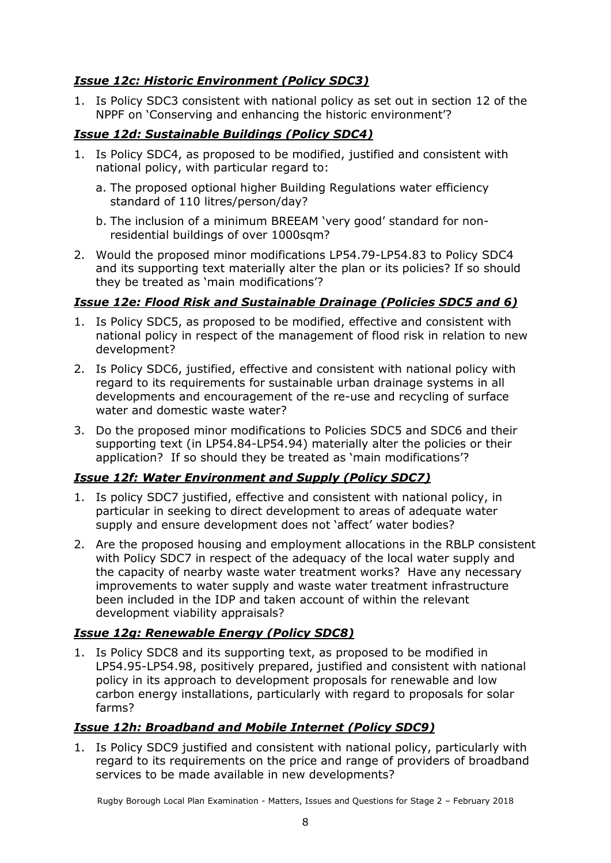## *Issue 12c: Historic Environment (Policy SDC3)*

1. Is Policy SDC3 consistent with national policy as set out in section 12 of the NPPF on 'Conserving and enhancing the historic environment'?

### *Issue 12d: Sustainable Buildings (Policy SDC4)*

- 1. Is Policy SDC4, as proposed to be modified, justified and consistent with national policy, with particular regard to:
	- a. The proposed optional higher Building Regulations water efficiency standard of 110 litres/person/day?
	- b. The inclusion of a minimum BREEAM 'very good' standard for nonresidential buildings of over 1000sqm?
- 2. Would the proposed minor modifications LP54.79-LP54.83 to Policy SDC4 and its supporting text materially alter the plan or its policies? If so should they be treated as 'main modifications'?

### *Issue 12e: Flood Risk and Sustainable Drainage (Policies SDC5 and 6)*

- 1. Is Policy SDC5, as proposed to be modified, effective and consistent with national policy in respect of the management of flood risk in relation to new development?
- 2. Is Policy SDC6, justified, effective and consistent with national policy with regard to its requirements for sustainable urban drainage systems in all developments and encouragement of the re-use and recycling of surface water and domestic waste water?
- 3. Do the proposed minor modifications to Policies SDC5 and SDC6 and their supporting text (in LP54.84-LP54.94) materially alter the policies or their application? If so should they be treated as 'main modifications'?

## *Issue 12f: Water Environment and Supply (Policy SDC7)*

- 1. Is policy SDC7 justified, effective and consistent with national policy, in particular in seeking to direct development to areas of adequate water supply and ensure development does not 'affect' water bodies?
- 2. Are the proposed housing and employment allocations in the RBLP consistent with Policy SDC7 in respect of the adequacy of the local water supply and the capacity of nearby waste water treatment works? Have any necessary improvements to water supply and waste water treatment infrastructure been included in the IDP and taken account of within the relevant development viability appraisals?

## *Issue 12g: Renewable Energy (Policy SDC8)*

1. Is Policy SDC8 and its supporting text, as proposed to be modified in LP54.95-LP54.98, positively prepared, justified and consistent with national policy in its approach to development proposals for renewable and low carbon energy installations, particularly with regard to proposals for solar farms?

### *Issue 12h: Broadband and Mobile Internet (Policy SDC9)*

1. Is Policy SDC9 justified and consistent with national policy, particularly with regard to its requirements on the price and range of providers of broadband services to be made available in new developments?

Rugby Borough Local Plan Examination - Matters, Issues and Questions for Stage 2 – February 2018